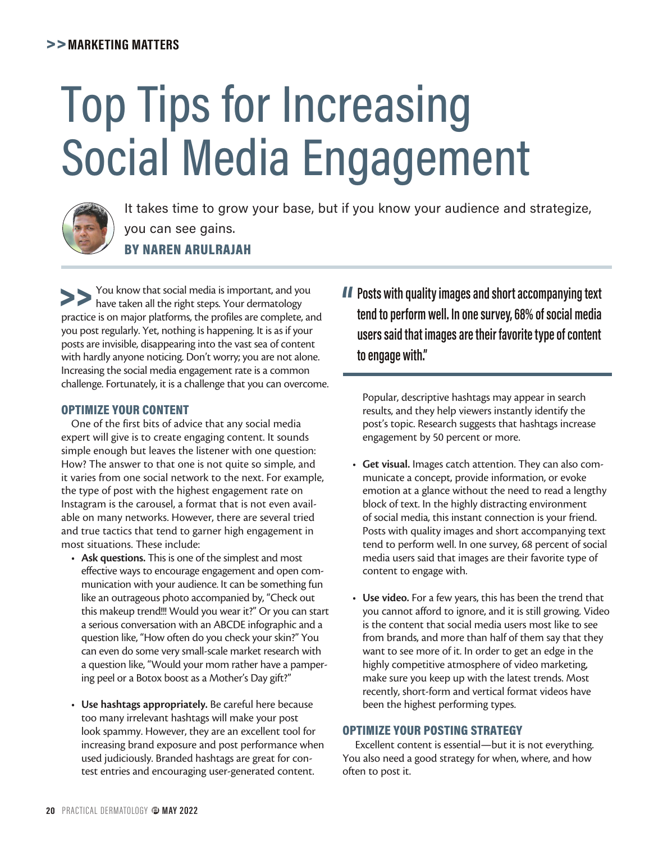## >>**MARKETING MATTERS**

# Top Tips for Increasing Social Media Engagement



It takes time to grow your base, but if you know your audience and strategize, you can see gains. BY NAREN ARULRAJAH

You know that social media is important, and you have taken all the right steps. Your dermatology practice is on major platforms, the profiles are complete, and you post regularly. Yet, nothing is happening. It is as if your posts are invisible, disappearing into the vast sea of content with hardly anyone noticing. Don't worry; you are not alone. Increasing the social media engagement rate is a common challenge. Fortunately, it is a challenge that you can overcome.

#### OPTIMIZE YOUR CONTENT

One of the first bits of advice that any social media expert will give is to create engaging content. It sounds simple enough but leaves the listener with one question: How? The answer to that one is not quite so simple, and it varies from one social network to the next. For example, the type of post with the highest engagement rate on Instagram is the carousel, a format that is not even available on many networks. However, there are several tried and true tactics that tend to garner high engagement in most situations. These include:

- **Ask questions.** This is one of the simplest and most effective ways to encourage engagement and open communication with your audience. It can be something fun like an outrageous photo accompanied by, "Check out this makeup trend!!! Would you wear it?" Or you can start a serious conversation with an ABCDE infographic and a question like, "How often do you check your skin?" You can even do some very small-scale market research with a question like, "Would your mom rather have a pampering peel or a Botox boost as a Mother's Day gift?"
- **Use hashtags appropriately.** Be careful here because too many irrelevant hashtags will make your post look spammy. However, they are an excellent tool for increasing brand exposure and post performance when used judiciously. Branded hashtags are great for contest entries and encouraging user-generated content.

**" Posts with quality images and short accompanying text tend to perform well. In one survey, 68% of social media users said that images are their favorite type of content to engage with."**

Popular, descriptive hashtags may appear in search results, and they help viewers instantly identify the post's topic. Research suggests that hashtags increase engagement by 50 percent or more.

- **Get visual.** Images catch attention. They can also communicate a concept, provide information, or evoke emotion at a glance without the need to read a lengthy block of text. In the highly distracting environment of social media, this instant connection is your friend. Posts with quality images and short accompanying text tend to perform well. In one survey, 68 percent of social media users said that images are their favorite type of content to engage with.
- **Use video.** For a few years, this has been the trend that you cannot afford to ignore, and it is still growing. Video is the content that social media users most like to see from brands, and more than half of them say that they want to see more of it. In order to get an edge in the highly competitive atmosphere of video marketing, make sure you keep up with the latest trends. Most recently, short-form and vertical format videos have been the highest performing types.

### OPTIMIZE YOUR POSTING STRATEGY

 Excellent content is essential—but it is not everything. You also need a good strategy for when, where, and how often to post it.